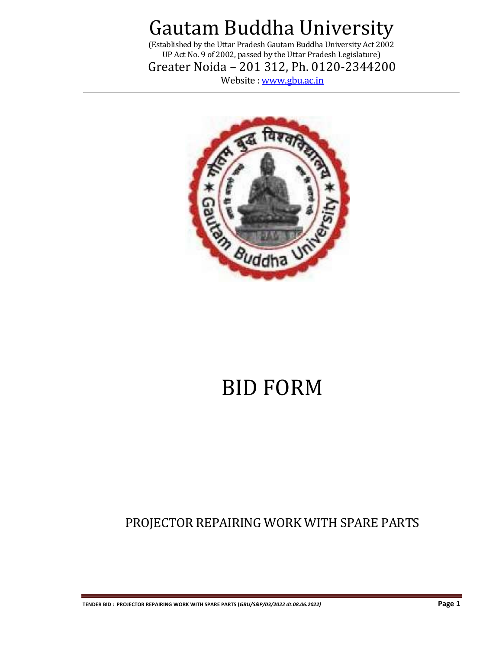(Established by the Uttar Pradesh Gautam Buddha University Act 2002 UP Act No. 9 of 2002, passed by the Uttar Pradesh Legislature)

Greater Noida – 201 312, Ph. 0120-2344200

Website [: www.gbu.ac.in](http://www.gbu.ac.in/)



# BID FORM

PROJECTOR REPAIRING WORK WITH SPARE PARTS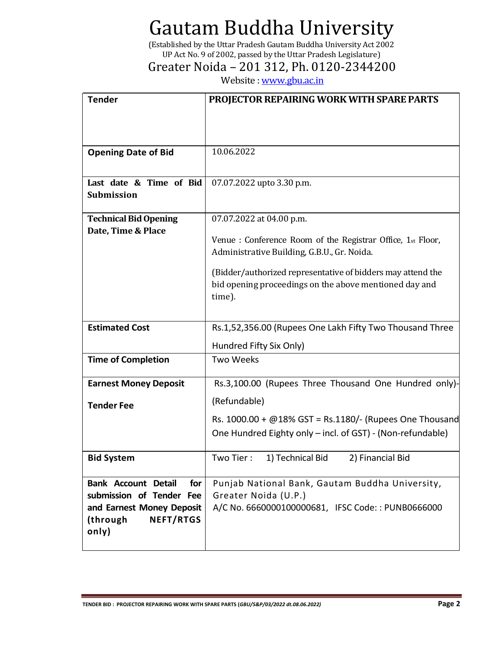(Established by the Uttar Pradesh Gautam Buddha University Act 2002 UP Act No. 9 of 2002, passed by the Uttar Pradesh Legislature)

### Greater Noida – 201 312, Ph. 0120-2344200

Website [: www.gbu.ac.in](http://www.gbu.ac.in/)

| <b>Tender</b>                                             | <b>PROJECTOR REPAIRING WORK WITH SPARE PARTS</b>            |
|-----------------------------------------------------------|-------------------------------------------------------------|
|                                                           |                                                             |
|                                                           |                                                             |
|                                                           |                                                             |
| <b>Opening Date of Bid</b>                                | 10.06.2022                                                  |
|                                                           |                                                             |
| Last date & Time of Bid                                   | 07.07.2022 upto 3.30 p.m.                                   |
| Submission                                                |                                                             |
| <b>Technical Bid Opening</b>                              | 07.07.2022 at 04.00 p.m.                                    |
| Date, Time & Place                                        |                                                             |
|                                                           | Venue : Conference Room of the Registrar Office, 1st Floor, |
|                                                           | Administrative Building, G.B.U., Gr. Noida.                 |
|                                                           | (Bidder/authorized representative of bidders may attend the |
|                                                           | bid opening proceedings on the above mentioned day and      |
|                                                           | time).                                                      |
|                                                           |                                                             |
| <b>Estimated Cost</b>                                     | Rs.1,52,356.00 (Rupees One Lakh Fifty Two Thousand Three    |
|                                                           | Hundred Fifty Six Only)                                     |
| <b>Time of Completion</b>                                 | <b>Two Weeks</b>                                            |
|                                                           |                                                             |
| <b>Earnest Money Deposit</b>                              | Rs.3,100.00 (Rupees Three Thousand One Hundred only)-       |
| <b>Tender Fee</b>                                         | (Refundable)                                                |
|                                                           | Rs. $1000.00 + @18\% GST = Rs.1180/$ - (Rupees One Thousand |
|                                                           | One Hundred Eighty only - incl. of GST) - (Non-refundable)  |
|                                                           |                                                             |
| <b>Bid System</b>                                         | Two Tier:<br>1) Technical Bid<br>2) Financial Bid           |
|                                                           |                                                             |
| <b>Bank Account Detail</b><br>for                         | Punjab National Bank, Gautam Buddha University,             |
| submission of Tender Fee                                  | Greater Noida (U.P.)                                        |
| and Earnest Money Deposit<br><b>NEFT/RTGS</b><br>(through | A/C No. 6660000100000681, IFSC Code:: PUNB0666000           |
| only)                                                     |                                                             |
|                                                           |                                                             |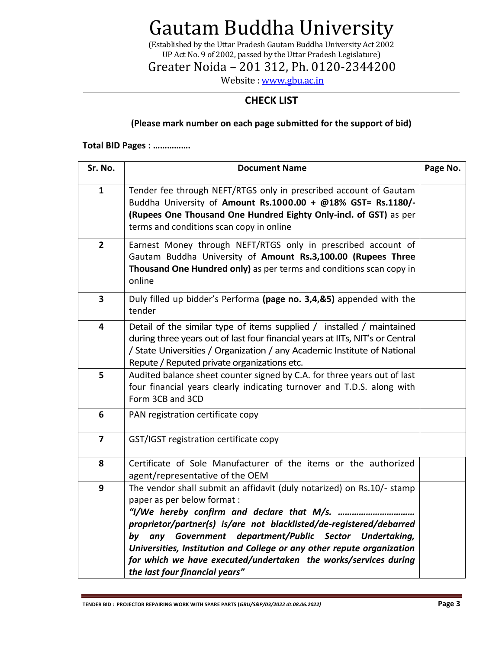(Established by the Uttar Pradesh Gautam Buddha University Act 2002 UP Act No. 9 of 2002, passed by the Uttar Pradesh Legislature)

Greater Noida – 201 312, Ph. 0120-2344200

Website [: www.gbu.ac.in](http://www.gbu.ac.in/)

### **CHECK LIST**

#### **(Please mark number on each page submitted for the support of bid)**

#### **Total BID Pages : …………….**

| Sr. No.                 | <b>Document Name</b>                                                                                                                                                                                                                                                                                                                                                                                                                                                    | Page No. |
|-------------------------|-------------------------------------------------------------------------------------------------------------------------------------------------------------------------------------------------------------------------------------------------------------------------------------------------------------------------------------------------------------------------------------------------------------------------------------------------------------------------|----------|
| $\mathbf{1}$            | Tender fee through NEFT/RTGS only in prescribed account of Gautam<br>Buddha University of Amount Rs.1000.00 + @18% GST= Rs.1180/-<br>(Rupees One Thousand One Hundred Eighty Only-incl. of GST) as per<br>terms and conditions scan copy in online                                                                                                                                                                                                                      |          |
| $\overline{2}$          | Earnest Money through NEFT/RTGS only in prescribed account of<br>Gautam Buddha University of Amount Rs.3,100.00 (Rupees Three<br>Thousand One Hundred only) as per terms and conditions scan copy in<br>online                                                                                                                                                                                                                                                          |          |
| $\overline{\mathbf{3}}$ | Duly filled up bidder's Performa (page no. 3,4,&5) appended with the<br>tender                                                                                                                                                                                                                                                                                                                                                                                          |          |
| $\overline{\mathbf{4}}$ | Detail of the similar type of items supplied / installed / maintained<br>during three years out of last four financial years at IITs, NIT's or Central<br>/ State Universities / Organization / any Academic Institute of National<br>Repute / Reputed private organizations etc.                                                                                                                                                                                       |          |
| 5                       | Audited balance sheet counter signed by C.A. for three years out of last<br>four financial years clearly indicating turnover and T.D.S. along with<br>Form 3CB and 3CD                                                                                                                                                                                                                                                                                                  |          |
| 6                       | PAN registration certificate copy                                                                                                                                                                                                                                                                                                                                                                                                                                       |          |
| $\overline{\mathbf{z}}$ | GST/IGST registration certificate copy                                                                                                                                                                                                                                                                                                                                                                                                                                  |          |
| 8                       | Certificate of Sole Manufacturer of the items or the authorized<br>agent/representative of the OEM                                                                                                                                                                                                                                                                                                                                                                      |          |
| 9                       | The vendor shall submit an affidavit (duly notarized) on Rs.10/- stamp<br>paper as per below format :<br>"I/We hereby confirm and declare that M/s.<br>proprietor/partner(s) is/are not blacklisted/de-registered/debarred<br>any Government department/Public Sector Undertaking,<br>by<br>Universities, Institution and College or any other repute organization<br>for which we have executed/undertaken the works/services during<br>the last four financial years" |          |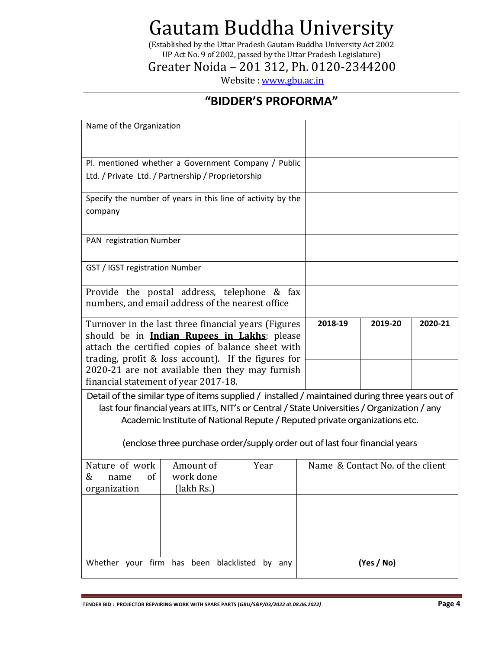(Established by the Uttar Pradesh Gautam Buddha University Act 2002 UP Act No. 9 of 2002, passed by the Uttar Pradesh Legislature)

Greater Noida – 201 312, Ph. 0120-2344200

Website [: www.gbu.ac.in](http://www.gbu.ac.in/)

### **"BIDDER'S PROFORMA"**

| Name of the Organization                                                                                                                                                                                               |                                                                                                                                                                                                                                                            |        |         |            |         |
|------------------------------------------------------------------------------------------------------------------------------------------------------------------------------------------------------------------------|------------------------------------------------------------------------------------------------------------------------------------------------------------------------------------------------------------------------------------------------------------|--------|---------|------------|---------|
| Pl. mentioned whether a Government Company / Public<br>Ltd. / Private Ltd. / Partnership / Proprietorship                                                                                                              |                                                                                                                                                                                                                                                            |        |         |            |         |
| Specify the number of years in this line of activity by the<br>company                                                                                                                                                 |                                                                                                                                                                                                                                                            |        |         |            |         |
| PAN registration Number                                                                                                                                                                                                |                                                                                                                                                                                                                                                            |        |         |            |         |
| GST / IGST registration Number                                                                                                                                                                                         |                                                                                                                                                                                                                                                            |        |         |            |         |
| Provide the postal address, telephone & fax<br>numbers, and email address of the nearest office                                                                                                                        |                                                                                                                                                                                                                                                            |        |         |            |         |
| Turnover in the last three financial years (Figures<br>should be in <b>Indian Rupees in Lakhs</b> ; please<br>attach the certified copies of balance sheet with<br>trading, profit & loss account). If the figures for |                                                                                                                                                                                                                                                            |        | 2018-19 | 2019-20    | 2020-21 |
| 2020-21 are not available then they may furnish<br>financial statement of year 2017-18.                                                                                                                                |                                                                                                                                                                                                                                                            |        |         |            |         |
| Detail of the similar type of items supplied / installed / maintained during three years out of                                                                                                                        | last four financial years at IITs, NIT's or Central / State Universities / Organization / any<br>Academic Institute of National Repute / Reputed private organizations etc.<br>(enclose three purchase order/supply order out of last four financial years |        |         |            |         |
| Nature of work<br>Amount of<br>Year<br>Name & Contact No. of the client<br>work done<br>&<br><sub>of</sub><br>name<br>organization<br>(lakh Rs.)                                                                       |                                                                                                                                                                                                                                                            |        |         |            |         |
|                                                                                                                                                                                                                        |                                                                                                                                                                                                                                                            |        |         |            |         |
| Whether your firm has                                                                                                                                                                                                  | been blacklisted                                                                                                                                                                                                                                           | by any |         | (Yes / No) |         |

**TENDER BID : PROJECTOR REPAIRING WORK WITH SPARE PARTS (***GBU/S&P/03/2022 dt.08.06.2022)* **Page 4**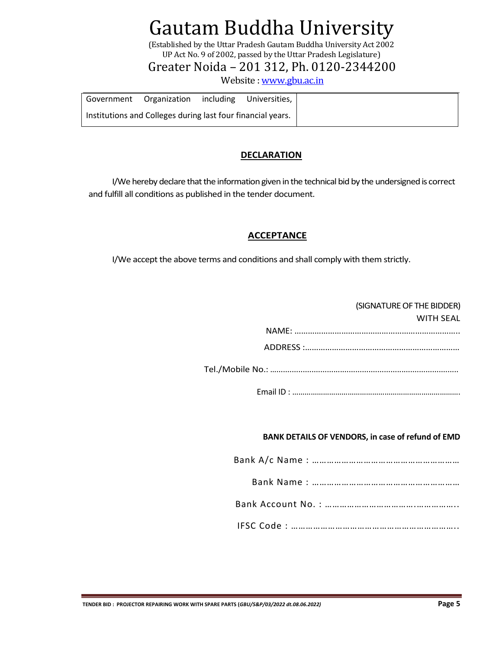(Established by the Uttar Pradesh Gautam Buddha University Act 2002 UP Act No. 9 of 2002, passed by the Uttar Pradesh Legislature)

Greater Noida – 201 312, Ph. 0120-2344200

Website [: www.gbu.ac.in](http://www.gbu.ac.in/)

| Government Organization including                           | Universities. I |
|-------------------------------------------------------------|-----------------|
| Institutions and Colleges during last four financial years. |                 |

### **DECLARATION**

I/We hereby declare that the information given in the technical bid by the undersigned is correct and fulfill all conditions as published in the tender document.

### **ACCEPTANCE**

I/We accept the above terms and conditions and shall comply with them strictly.

| (SIGNATURE OF THE BIDDER)<br><b>WITH SEAL</b> |
|-----------------------------------------------|
|                                               |
|                                               |
|                                               |
|                                               |

#### **BANK DETAILS OF VENDORS, in case of refund of EMD**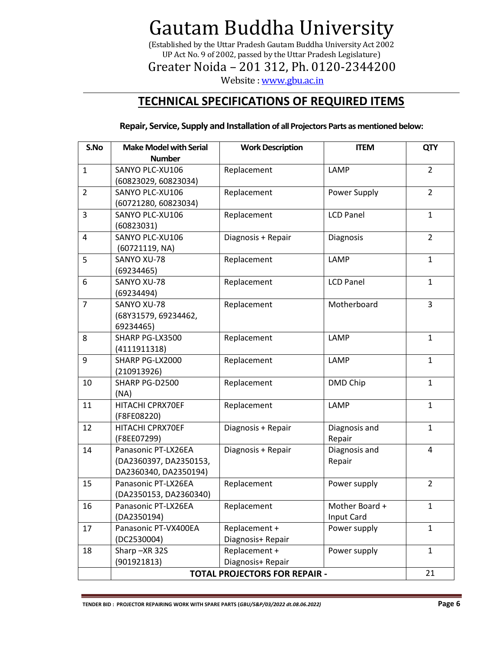(Established by the Uttar Pradesh Gautam Buddha University Act 2002 UP Act No. 9 of 2002, passed by the Uttar Pradesh Legislature)

Greater Noida – 201 312, Ph. 0120-2344200

Website [: www.gbu.ac.in](http://www.gbu.ac.in/)

### **TECHNICAL SPECIFICATIONS OF REQUIRED ITEMS**

**Repair, Service, Supply and Installation of all Projectors Parts as mentioned below:**

| S.No           | <b>Make Model with Serial</b>                                          | <b>Work Description</b>            | <b>ITEM</b>                  | <b>QTY</b>     |  |
|----------------|------------------------------------------------------------------------|------------------------------------|------------------------------|----------------|--|
|                | <b>Number</b>                                                          |                                    |                              |                |  |
| $\mathbf{1}$   | SANYO PLC-XU106<br>(60823029, 60823034)                                | Replacement                        | LAMP                         | $\overline{2}$ |  |
| $\overline{2}$ | SANYO PLC-XU106<br>(60721280, 60823034)                                | Replacement                        | Power Supply                 | $\overline{2}$ |  |
| 3              | SANYO PLC-XU106<br>(60823031)                                          | Replacement                        | <b>LCD Panel</b>             | $\mathbf{1}$   |  |
| 4              | SANYO PLC-XU106<br>(60721119, NA)                                      | Diagnosis + Repair                 | Diagnosis                    | $\overline{2}$ |  |
| 5              | SANYO XU-78<br>(69234465)                                              | Replacement                        | LAMP                         | $\mathbf{1}$   |  |
| 6              | SANYO XU-78<br>(69234494)                                              | Replacement                        | <b>LCD Panel</b>             | $\mathbf{1}$   |  |
| $\overline{7}$ | SANYO XU-78<br>(68Y31579, 69234462,<br>69234465)                       | Replacement                        | Motherboard                  | $\overline{3}$ |  |
| 8              | SHARP PG-LX3500<br>(4111911318)                                        | Replacement                        | LAMP                         | $\mathbf{1}$   |  |
| 9              | SHARP PG-LX2000<br>(210913926)                                         | Replacement                        | LAMP                         | $\mathbf{1}$   |  |
| 10             | SHARP PG-D2500<br>(NA)                                                 | Replacement                        | DMD Chip                     | $\mathbf{1}$   |  |
| 11             | HITACHI CPRX70EF<br>(F8FE08220)                                        | Replacement                        | LAMP                         | $\mathbf{1}$   |  |
| 12             | HITACHI CPRX70EF<br>(F8EE07299)                                        | Diagnosis + Repair                 | Diagnosis and<br>Repair      | $\mathbf{1}$   |  |
| 14             | Panasonic PT-LX26EA<br>(DA2360397, DA2350153,<br>DA2360340, DA2350194) | Diagnosis + Repair                 | Diagnosis and<br>Repair      | $\overline{4}$ |  |
| 15             | Panasonic PT-LX26EA<br>(DA2350153, DA2360340)                          | Replacement                        | Power supply                 | $\overline{2}$ |  |
| 16             | Panasonic PT-LX26EA<br>(DA2350194)                                     | Replacement                        | Mother Board +<br>Input Card | $\mathbf{1}$   |  |
| 17             | Panasonic PT-VX400EA<br>(DC2530004)                                    | Replacement +<br>Diagnosis+ Repair | Power supply                 | $\mathbf{1}$   |  |
| 18             | Sharp-XR 32S<br>(901921813)                                            | Replacement +<br>Diagnosis+ Repair | Power supply                 | $\mathbf{1}$   |  |
|                | <b>TOTAL PROJECTORS FOR REPAIR -</b>                                   |                                    |                              |                |  |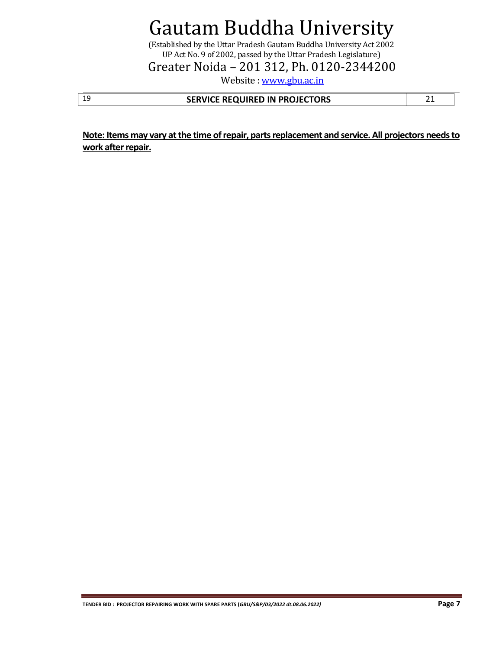(Established by the Uttar Pradesh Gautam Buddha University Act 2002 UP Act No. 9 of 2002, passed by the Uttar Pradesh Legislature)

Greater Noida – 201 312, Ph. 0120-2344200

Website [: www.gbu.ac.in](http://www.gbu.ac.in/)

| ᅩ | SERVICE REQUIRED IN PROJECTORS |  |
|---|--------------------------------|--|
|---|--------------------------------|--|

**Note: Items may vary at the time of repair, parts replacement and service. All projectors needsto work after repair.**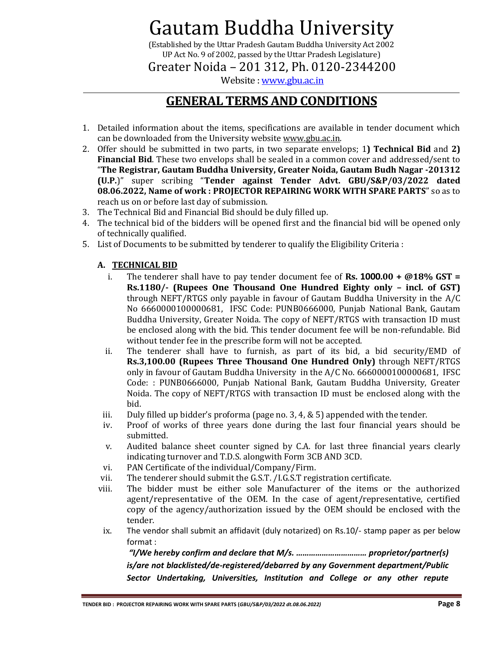(Established by the Uttar Pradesh Gautam Buddha University Act 2002 UP Act No. 9 of 2002, passed by the Uttar Pradesh Legislature)

Greater Noida – 201 312, Ph. 0120-2344200

Website [: www.gbu.ac.in](http://www.gbu.ac.in/)

### **GENERAL TERMS AND CONDITIONS**

- 1. Detailed information about the items, specifications are available in tender document which can be downloaded from the University websit[e www.gbu.ac.in.](http://www.gbu.ac.in/)
- 2. Offer should be submitted in two parts, in two separate envelops; 1**) Technical Bid** and **2) Financial Bid**. These two envelops shall be sealed in a common cover and addressed/sent to "**The Registrar, Gautam Buddha University, Greater Noida, Gautam Budh Nagar -201312 (U.P.**)" super scribing "**Tender against Tender Advt. GBU/S&P/03/2022 dated 08.06.2022, Name of work : PROJECTOR REPAIRING WORK WITH SPARE PARTS**" so as to reach us on or before last day of submission.
- 3. The Technical Bid and Financial Bid should be duly filled up.
- 4. The technical bid of the bidders will be opened first and the financial bid will be opened only of technically qualified.
- 5. List of Documents to be submitted by tenderer to qualify the Eligibility Criteria :

#### **A. TECHNICAL BID**

- i. The tenderer shall have to pay tender document fee of **Rs. 1000.00 + @18% GST = Rs.1180/- (Rupees One Thousand One Hundred Eighty only – incl. of GST)** through NEFT/RTGS only payable in favour of Gautam Buddha University in the A/C No 6660000100000681, IFSC Code: PUNB0666000, Punjab National Bank, Gautam Buddha University, Greater Noida. The copy of NEFT/RTGS with transaction ID must be enclosed along with the bid. This tender document fee will be non-refundable. Bid without tender fee in the prescribe form will not be accepted.
- ii. The tenderer shall have to furnish, as part of its bid, a bid security/EMD of **Rs.3,100.00 (Rupees Three Thousand One Hundred Only)** through NEFT/RTGS only in favour of Gautam Buddha University in the A/C No. 6660000100000681, IFSC Code: : PUNB0666000, Punjab National Bank, Gautam Buddha University, Greater Noida. The copy of NEFT/RTGS with transaction ID must be enclosed along with the bid.
- iii. Duly filled up bidder's proforma (page no. 3, 4, & 5) appended with the tender.
- iv. Proof of works of three years done during the last four financial years should be submitted.
- v. Audited balance sheet counter signed by C.A. for last three financial years clearly indicating turnover and T.D.S. alongwith Form 3CB AND 3CD.
- vi. PAN Certificate of the individual/Company/Firm.
- vii. The tenderer should submit the G.S.T. /I.G.S.T registration certificate.
- viii. The bidder must be either sole Manufacturer of the items or the authorized agent/representative of the OEM. In the case of agent/representative, certified copy of the agency/authorization issued by the OEM should be enclosed with the tender.
- ix. The vendor shall submit an affidavit (duly notarized) on Rs.10/- stamp paper as per below format :

*"I/We hereby confirm and declare that M/s. …………………………… proprietor/partner(s) is/are not blacklisted/de-registered/debarred by any Government department/Public Sector Undertaking, Universities, Institution and College or any other repute*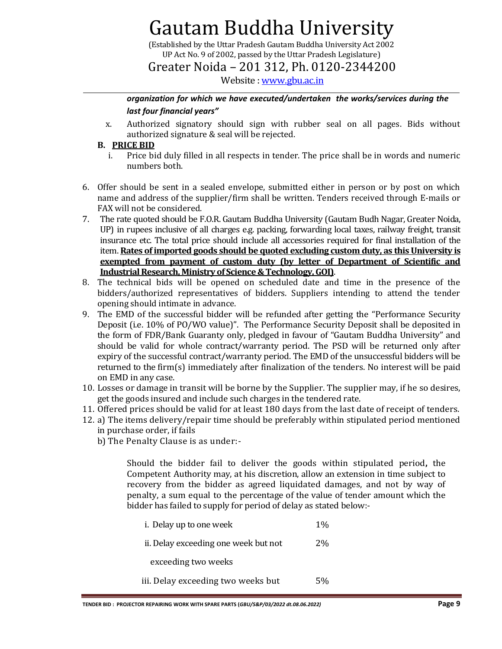(Established by the Uttar Pradesh Gautam Buddha University Act 2002 UP Act No. 9 of 2002, passed by the Uttar Pradesh Legislature)

Greater Noida – 201 312, Ph. 0120-2344200

Website [: www.gbu.ac.in](http://www.gbu.ac.in/)

#### *organization for which we have executed/undertaken the works/services during the last four financial years"*

x. Authorized signatory should sign with rubber seal on all pages. Bids without authorized signature & seal will be rejected.

#### **B. PRICE BID**

- i. Price bid duly filled in all respects in tender. The price shall be in words and numeric numbers both.
- 6. Offer should be sent in a sealed envelope, submitted either in person or by post on which name and address of the supplier/firm shall be written. Tenders received through E-mails or FAX will not be considered.
- 7. The rate quoted should be F.O.R. Gautam Buddha University (Gautam Budh Nagar, Greater Noida, UP) in rupees inclusive of all charges e.g. packing, forwarding local taxes, railway freight, transit insurance etc. The total price should include all accessories required for final installation of the item. **Rates of imported goods should be quoted excluding custom duty, as this University is exempted from payment of custom duty (by letter of Department of Scientific and Industrial Research, Ministry of Science & Technology, GOI)**.
- 8. The technical bids will be opened on scheduled date and time in the presence of the bidders/authorized representatives of bidders. Suppliers intending to attend the tender opening should intimate in advance.
- 9. The EMD of the successful bidder will be refunded after getting the "Performance Security Deposit (i.e. 10% of PO/WO value)". The Performance Security Deposit shall be deposited in the form of FDR/Bank Guaranty only, pledged in favour of "Gautam Buddha University" and should be valid for whole contract/warranty period. The PSD will be returned only after expiry of the successful contract/warranty period. The EMD of the unsuccessful bidders will be returned to the firm(s) immediately after finalization of the tenders. No interest will be paid on EMD in any case.
- 10. Losses or damage in transit will be borne by the Supplier. The supplier may, if he so desires, get the goods insured and include such charges in the tendered rate.
- 11. Offered prices should be valid for at least 180 days from the last date of receipt of tenders.
- 12. a) The items delivery/repair time should be preferably within stipulated period mentioned in purchase order, if fails
	- b) The Penalty Clause is as under:-

Should the bidder fail to deliver the goods within stipulated period**,** the Competent Authority may, at his discretion, allow an extension in time subject to recovery from the bidder as agreed liquidated damages, and not by way of penalty, a sum equal to the percentage of the value of tender amount which the bidder has failed to supply for period of delay as stated below:-

| i. Delay up to one week              | $1\%$ |
|--------------------------------------|-------|
| ii. Delay exceeding one week but not | $2\%$ |
| exceeding two weeks                  |       |
| iii. Delay exceeding two weeks but   | 5%    |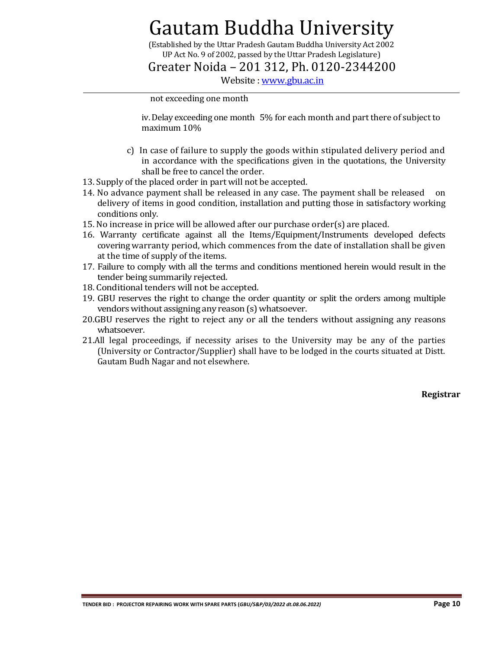(Established by the Uttar Pradesh Gautam Buddha University Act 2002 UP Act No. 9 of 2002, passed by the Uttar Pradesh Legislature)

Greater Noida – 201 312, Ph. 0120-2344200

Website [: www.gbu.ac.in](http://www.gbu.ac.in/)

#### not exceeding one month

iv. Delay exceeding one month 5% for each month and part there of subject to maximum 10%

- c) In case of failure to supply the goods within stipulated delivery period and in accordance with the specifications given in the quotations, the University shall be free to cancel the order.
- 13. Supply of the placed order in part will not be accepted.
- 14. No advance payment shall be released in any case. The payment shall be released delivery of items in good condition, installation and putting those in satisfactory working conditions only.
- 15. No increase in price will be allowed after our purchase order(s) are placed.
- 16. Warranty certificate against all the Items/Equipment/Instruments developed defects covering warranty period, which commences from the date of installation shall be given at the time of supply of the items.
- 17. Failure to comply with all the terms and conditions mentioned herein would result in the tender being summarily rejected.
- 18. Conditional tenders will not be accepted.
- 19. GBU reserves the right to change the order quantity or split the orders among multiple vendors without assigning any reason (s) whatsoever.
- 20.GBU reserves the right to reject any or all the tenders without assigning any reasons whatsoever.
- 21.All legal proceedings, if necessity arises to the University may be any of the parties (University or Contractor/Supplier) shall have to be lodged in the courts situated at Distt. Gautam Budh Nagar and not elsewhere.

**Registrar**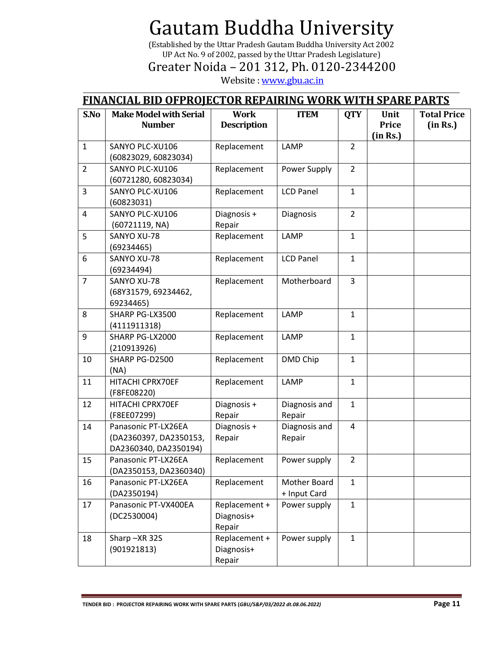(Established by the Uttar Pradesh Gautam Buddha University Act 2002 UP Act No. 9 of 2002, passed by the Uttar Pradesh Legislature)

Greater Noida – 201 312, Ph. 0120-2344200

Website [: www.gbu.ac.in](http://www.gbu.ac.in/)

### **FINANCIAL BID OFPROJECTOR REPAIRING WORK WITH SPARE PARTS**

| S.No           | <b>Make Model with Serial</b>   | <b>Work</b>          | <b>ITEM</b>      | <b>QTY</b>              | Unit     | <b>Total Price</b> |
|----------------|---------------------------------|----------------------|------------------|-------------------------|----------|--------------------|
|                | <b>Number</b>                   | <b>Description</b>   |                  |                         | Price    | (in Rs.)           |
| $\mathbf{1}$   | SANYO PLC-XU106                 | Replacement          | LAMP             | $\overline{2}$          | (in Rs.) |                    |
|                | (60823029, 60823034)            |                      |                  |                         |          |                    |
| $\overline{2}$ | SANYO PLC-XU106                 | Replacement          | Power Supply     | $\overline{2}$          |          |                    |
|                | (60721280, 60823034)            |                      |                  |                         |          |                    |
| 3              | SANYO PLC-XU106                 | Replacement          | <b>LCD Panel</b> | $\mathbf{1}$            |          |                    |
|                | (60823031)                      |                      |                  |                         |          |                    |
| 4              | SANYO PLC-XU106                 | Diagnosis +          | Diagnosis        | $\overline{2}$          |          |                    |
|                | (60721119, NA)                  | Repair               |                  |                         |          |                    |
| 5              | SANYO XU-78                     | Replacement          | LAMP             | $\mathbf{1}$            |          |                    |
|                | (69234465)                      |                      |                  |                         |          |                    |
| 6              | SANYO XU-78                     | Replacement          | <b>LCD Panel</b> | $\mathbf{1}$            |          |                    |
|                | (69234494)                      |                      |                  |                         |          |                    |
| $\overline{7}$ | SANYO XU-78                     | Replacement          | Motherboard      | 3                       |          |                    |
|                | (68Y31579, 69234462,            |                      |                  |                         |          |                    |
| 8              | 69234465)                       |                      | LAMP             |                         |          |                    |
|                | SHARP PG-LX3500<br>(4111911318) | Replacement          |                  | $\mathbf{1}$            |          |                    |
| 9              | SHARP PG-LX2000                 | Replacement          | LAMP             | $\mathbf{1}$            |          |                    |
|                | (210913926)                     |                      |                  |                         |          |                    |
| 10             | SHARP PG-D2500                  | Replacement          | DMD Chip         | $\mathbf{1}$            |          |                    |
|                | (NA)                            |                      |                  |                         |          |                    |
| 11             | HITACHI CPRX70EF                | Replacement          | LAMP             | $\mathbf{1}$            |          |                    |
|                | (F8FE08220)                     |                      |                  |                         |          |                    |
| 12             | HITACHI CPRX70EF                | Diagnosis +          | Diagnosis and    | $\mathbf{1}$            |          |                    |
|                | (F8EE07299)                     | Repair               | Repair           |                         |          |                    |
| 14             | Panasonic PT-LX26EA             | Diagnosis +          | Diagnosis and    | $\overline{\mathbf{4}}$ |          |                    |
|                | (DA2360397, DA2350153,          | Repair               | Repair           |                         |          |                    |
|                | DA2360340, DA2350194)           |                      |                  |                         |          |                    |
| 15             | Panasonic PT-LX26EA             | Replacement          | Power supply     | $\overline{2}$          |          |                    |
|                | (DA2350153, DA2360340)          |                      |                  |                         |          |                    |
| 16             | Panasonic PT-LX26EA             | Replacement          | Mother Board     | $\mathbf{1}$            |          |                    |
|                | (DA2350194)                     |                      | + Input Card     |                         |          |                    |
| 17             | Panasonic PT-VX400EA            | Replacement +        | Power supply     | $\mathbf{1}$            |          |                    |
|                | (DC2530004)                     | Diagnosis+<br>Repair |                  |                         |          |                    |
| 18             | Sharp-XR 32S                    | Replacement +        | Power supply     | $\mathbf{1}$            |          |                    |
|                | (901921813)                     | Diagnosis+           |                  |                         |          |                    |
|                |                                 | Repair               |                  |                         |          |                    |

**TENDER BID : PROJECTOR REPAIRING WORK WITH SPARE PARTS (***GBU/S&P/03/2022 dt.08.06.2022)* **Page 11**